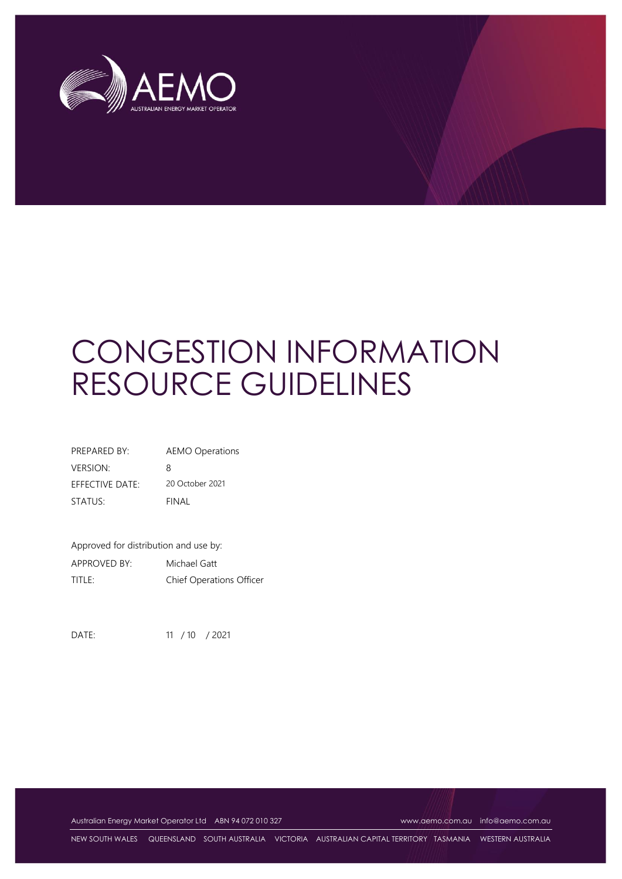

# CONGESTION INFORMATION RESOURCE GUIDELINES

| PREPARED BY:                  | <b>AEMO Operations</b> |
|-------------------------------|------------------------|
| <b>VERSION:</b>               | 8                      |
| $F$ FFF $C$ TIVF DATF $\cdot$ | 20 October 2021        |
| STATUS:                       | FINAL                  |

Approved for distribution and use by: APPROVED BY: Michael Gatt TITLE: Chief Operations Officer

DATE: 11 / 10 / 2021

Australian Energy Market Operator Ltd ABN 94 072 010 327 [www.aemo.com.au](http://www.aemo.com.au/) [info@aemo.com.au](mailto:info@aemo.com.au)

NEW SOUTH WALES QUEENSLAND SOUTH AUSTRALIA VICTORIA AUSTRALIAN CAPITAL TERRITORY TASMANIA WESTERN AUSTRALIA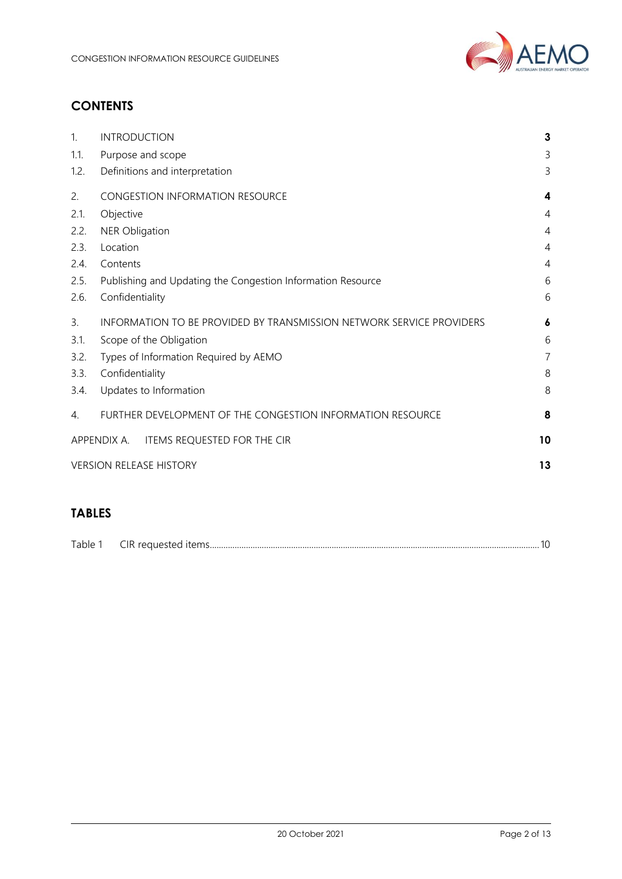

# **CONTENTS**

| 1.             | <b>INTRODUCTION</b>                                                  | 3              |
|----------------|----------------------------------------------------------------------|----------------|
| 1.1.           | Purpose and scope                                                    | 3              |
| 1.2.           | Definitions and interpretation                                       | 3              |
| 2.             | <b>CONGESTION INFORMATION RESOURCE</b>                               | 4              |
| 2.1.           | Objective                                                            | $\overline{4}$ |
| 2.2.           | <b>NER Obligation</b>                                                | 4              |
| 2.3.           | Location                                                             | 4              |
| 2.4.           | Contents                                                             | 4              |
| 2.5.           | Publishing and Updating the Congestion Information Resource          | 6              |
| 2.6.           | Confidentiality                                                      | 6              |
| $\mathbf{3}$ . | INFORMATION TO BE PROVIDED BY TRANSMISSION NETWORK SERVICE PROVIDERS | 6              |
| 3.1.           | Scope of the Obligation                                              | 6              |
| 3.2.           | Types of Information Required by AEMO                                | $\overline{7}$ |
| 3.3.           | Confidentiality                                                      | 8              |
| 3.4.           | Updates to Information                                               | 8              |
| 4.             | FURTHER DEVELOPMENT OF THE CONGESTION INFORMATION RESOURCE           | 8              |
|                | APPENDIX A. ITEMS REQUESTED FOR THE CIR                              | 10             |
|                | <b>VERSION RELEASE HISTORY</b>                                       | 13             |
|                |                                                                      |                |

# **TABLES**

| $ -$<br>IK. | Table |  |  |
|-------------|-------|--|--|
|-------------|-------|--|--|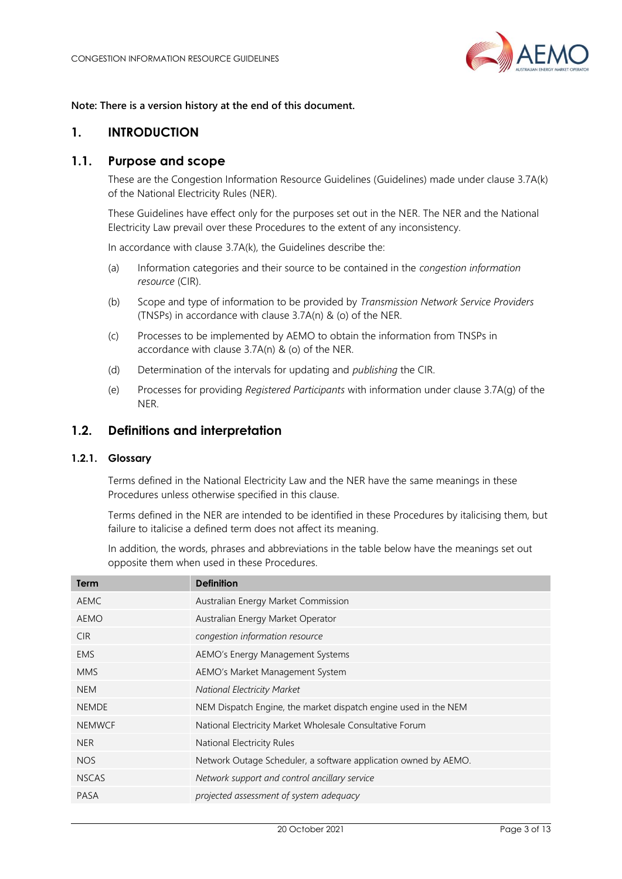

#### **Note: There is a version history at the end of this document.**

## <span id="page-2-0"></span>**1. INTRODUCTION**

## <span id="page-2-1"></span>**1.1. Purpose and scope**

These are the Congestion Information Resource Guidelines (Guidelines) made under clause 3.7A(k) of the National Electricity Rules (NER).

These Guidelines have effect only for the purposes set out in the NER. The NER and the National Electricity Law prevail over these Procedures to the extent of any inconsistency.

In accordance with clause 3.7A(k), the Guidelines describe the:

- (a) Information categories and their source to be contained in the *congestion information resource* (CIR).
- (b) Scope and type of information to be provided by *Transmission Network Service Providers* (TNSPs) in accordance with clause 3.7A(n) & (o) of the NER.
- (c) Processes to be implemented by AEMO to obtain the information from TNSPs in accordance with clause 3.7A(n) & (o) of the NER.
- (d) Determination of the intervals for updating and *publishing* the CIR.
- (e) Processes for providing *Registered Participants* with information under clause 3.7A(g) of the NER.

## <span id="page-2-2"></span>**1.2. Definitions and interpretation**

## **1.2.1. Glossary**

Terms defined in the National Electricity Law and the NER have the same meanings in these Procedures unless otherwise specified in this clause.

Terms defined in the NER are intended to be identified in these Procedures by italicising them, but failure to italicise a defined term does not affect its meaning.

In addition, the words, phrases and abbreviations in the table below have the meanings set out opposite them when used in these Procedures.

| Term          | <b>Definition</b>                                               |
|---------------|-----------------------------------------------------------------|
| <b>AEMC</b>   | Australian Energy Market Commission                             |
| <b>AEMO</b>   | Australian Energy Market Operator                               |
| <b>CIR</b>    | congestion information resource                                 |
| <b>EMS</b>    | AEMO's Energy Management Systems                                |
| <b>MMS</b>    | AEMO's Market Management System                                 |
| <b>NEM</b>    | <b>National Electricity Market</b>                              |
| <b>NEMDE</b>  | NEM Dispatch Engine, the market dispatch engine used in the NEM |
| <b>NEMWCF</b> | National Electricity Market Wholesale Consultative Forum        |
| <b>NER</b>    | National Electricity Rules                                      |
| <b>NOS</b>    | Network Outage Scheduler, a software application owned by AEMO. |
| <b>NSCAS</b>  | Network support and control ancillary service                   |
| <b>PASA</b>   | projected assessment of system adequacy                         |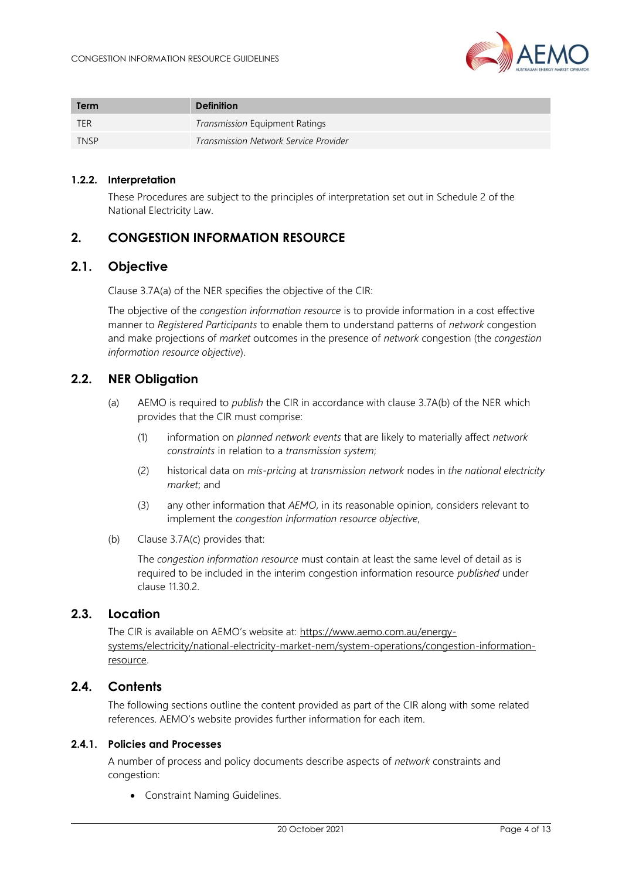

| Term        | <b>Definition</b>                     |
|-------------|---------------------------------------|
| <b>TER</b>  | Transmission Equipment Ratings        |
| <b>TNSP</b> | Transmission Network Service Provider |

#### **1.2.2. Interpretation**

These Procedures are subject to the principles of interpretation set out in Schedule 2 of the National Electricity Law.

## <span id="page-3-0"></span>**2. CONGESTION INFORMATION RESOURCE**

## <span id="page-3-1"></span>**2.1. Objective**

Clause 3.7A(a) of the NER specifies the objective of the CIR:

The objective of the *congestion information resource* is to provide information in a cost effective manner to *Registered Participants* to enable them to understand patterns of *network* congestion and make projections of *market* outcomes in the presence of *network* congestion (the *congestion information resource objective*).

## <span id="page-3-2"></span>**2.2. NER Obligation**

- (a) AEMO is required to *publish* the CIR in accordance with clause 3.7A(b) of the NER which provides that the CIR must comprise:
	- (1) information on *planned network events* that are likely to materially affect *network constraints* in relation to a *transmission system*;
	- (2) historical data on *mis-pricing* at *transmission network* nodes in *the national electricity market*; and
	- (3) any other information that *AEMO*, in its reasonable opinion, considers relevant to implement the *congestion information resource objective*,
- (b) Clause 3.7A(c) provides that:

The *congestion information resource* must contain at least the same level of detail as is required to be included in the interim congestion information resource *published* under clause 11.30.2.

## <span id="page-3-3"></span>**2.3. Location**

The CIR is available on AEMO's website at: [https://www.aemo.com.au/energy](https://www.aemo.com.au/energy-systems/electricity/national-electricity-market-nem/system-operations/congestion-information-resource)[systems/electricity/national-electricity-market-nem/system-operations/congestion-information](https://www.aemo.com.au/energy-systems/electricity/national-electricity-market-nem/system-operations/congestion-information-resource)[resource.](https://www.aemo.com.au/energy-systems/electricity/national-electricity-market-nem/system-operations/congestion-information-resource)

### <span id="page-3-4"></span>**2.4. Contents**

The following sections outline the content provided as part of the CIR along with some related references. AEMO's website provides further information for each item.

#### **2.4.1. Policies and Processes**

A number of process and policy documents describe aspects of *network* constraints and congestion:

• Constraint Naming Guidelines.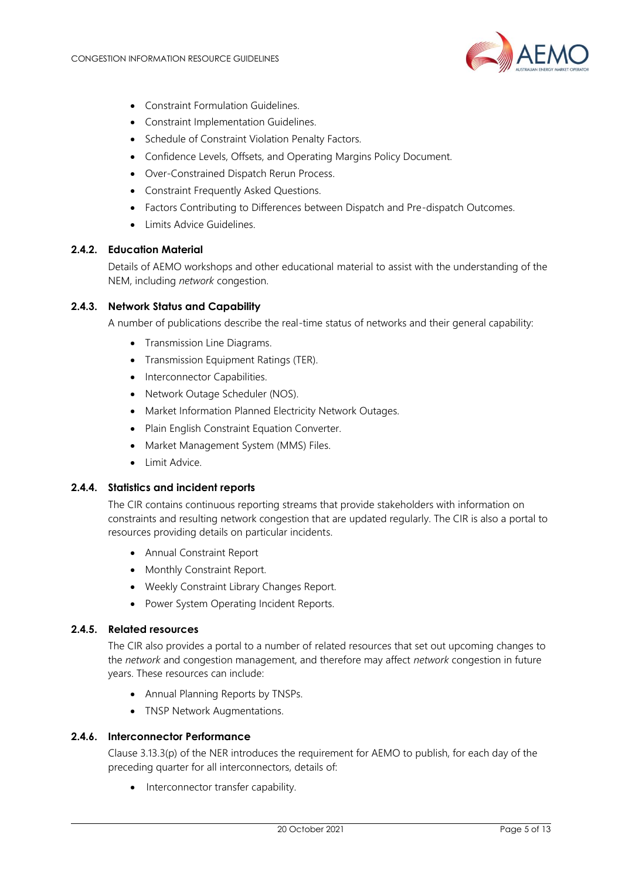

- Constraint Formulation Guidelines.
- Constraint Implementation Guidelines.
- Schedule of Constraint Violation Penalty Factors.
- Confidence Levels, Offsets, and Operating Margins Policy Document.
- Over-Constrained Dispatch Rerun Process.
- Constraint Frequently Asked Questions.
- Factors Contributing to Differences between Dispatch and Pre-dispatch Outcomes.
- Limits Advice Guidelines.

#### **2.4.2. Education Material**

Details of AEMO workshops and other educational material to assist with the understanding of the NEM, including *network* congestion.

#### **2.4.3. Network Status and Capability**

A number of publications describe the real-time status of networks and their general capability:

- Transmission Line Diagrams.
- Transmission Equipment Ratings (TER).
- Interconnector Capabilities.
- Network Outage Scheduler (NOS).
- Market Information Planned Electricity Network Outages.
- Plain English Constraint Equation Converter.
- Market Management System (MMS) Files.
- Limit Advice.

#### **2.4.4. Statistics and incident reports**

The CIR contains continuous reporting streams that provide stakeholders with information on constraints and resulting network congestion that are updated regularly. The CIR is also a portal to resources providing details on particular incidents.

- Annual Constraint Report
- Monthly Constraint Report.
- Weekly Constraint Library Changes Report.
- Power System Operating Incident Reports.

#### **2.4.5. Related resources**

The CIR also provides a portal to a number of related resources that set out upcoming changes to the *network* and congestion management, and therefore may affect *network* congestion in future years. These resources can include:

- Annual Planning Reports by TNSPs.
- TNSP Network Augmentations.

#### **2.4.6. Interconnector Performance**

Clause 3.13.3(p) of the NER introduces the requirement for AEMO to publish, for each day of the preceding quarter for all interconnectors, details of:

• Interconnector transfer capability.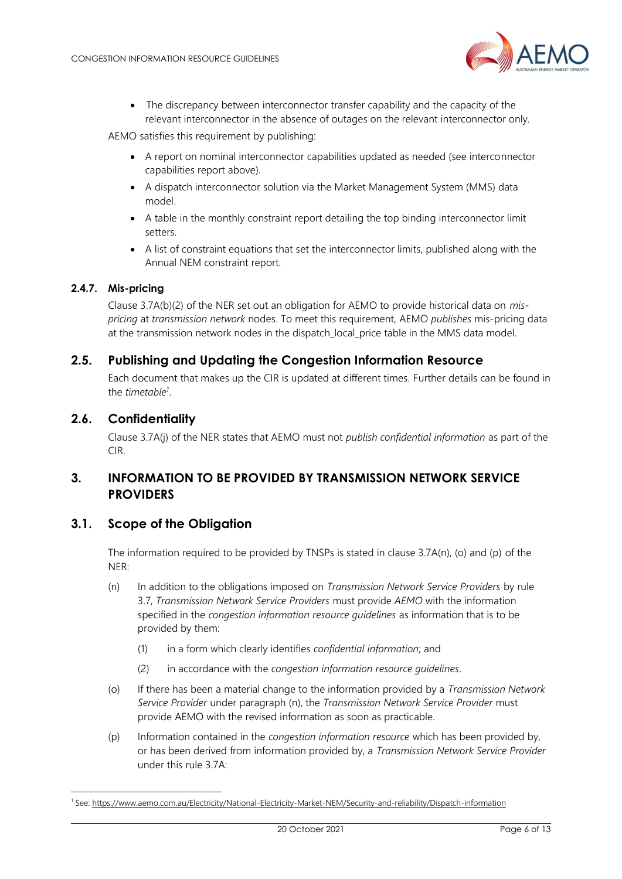

• The discrepancy between interconnector transfer capability and the capacity of the relevant interconnector in the absence of outages on the relevant interconnector only.

AEMO satisfies this requirement by publishing:

- A report on nominal interconnector capabilities updated as needed (see interconnector capabilities report above).
- A dispatch interconnector solution via the Market Management System (MMS) data model.
- A table in the monthly constraint report detailing the top binding interconnector limit setters.
- A list of constraint equations that set the interconnector limits, published along with the Annual NEM constraint report.

#### **2.4.7. Mis-pricing**

Clause 3.7A(b)(2) of the NER set out an obligation for AEMO to provide historical data on *mispricing* at *transmission network* nodes. To meet this requirement, AEMO *publishes* mis-pricing data at the transmission network nodes in the dispatch\_local\_price table in the MMS data model.

## <span id="page-5-0"></span>**2.5. Publishing and Updating the Congestion Information Resource**

Each document that makes up the CIR is updated at different times. Further details can be found in the *timetable<sup>1</sup>* .

## <span id="page-5-1"></span>**2.6. Confidentiality**

Clause 3.7A(j) of the NER states that AEMO must not *publish confidential information* as part of the CIR.

## <span id="page-5-2"></span>**3. INFORMATION TO BE PROVIDED BY TRANSMISSION NETWORK SERVICE PROVIDERS**

## <span id="page-5-3"></span>**3.1. Scope of the Obligation**

The information required to be provided by TNSPs is stated in clause 3.7A(n), (o) and (p) of the NER:

- (n) In addition to the obligations imposed on *Transmission Network Service Providers* by rule 3.7, *Transmission Network Service Providers* must provide *AEMO* with the information specified in the *congestion information resource guidelines* as information that is to be provided by them:
	- (1) in a form which clearly identifies *confidential information*; and
	- (2) in accordance with the *congestion information resource guidelines*.
- (o) If there has been a material change to the information provided by a *Transmission Network Service Provider* under paragraph (n), the *Transmission Network Service Provider* must provide AEMO with the revised information as soon as practicable.
- (p) Information contained in the *congestion information resource* which has been provided by, or has been derived from information provided by, a *Transmission Network Service Provider* under this rule 3.7A:

<sup>1</sup> See[: https://www.aemo.com.au/Electricity/National-Electricity-Market-NEM/Security-and-reliability/Dispatch-information](https://www.aemo.com.au/Electricity/National-Electricity-Market-NEM/Security-and-reliability/Dispatch-information)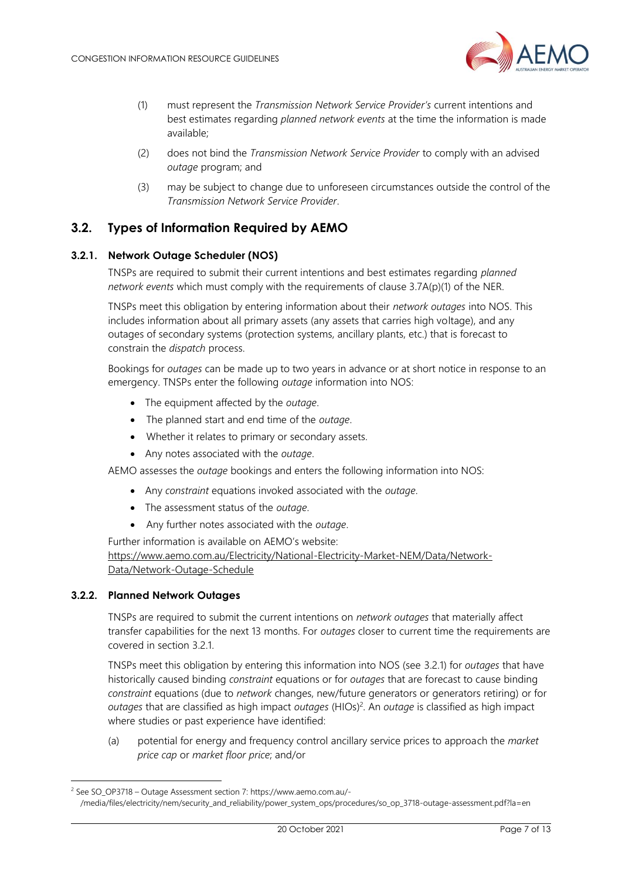

- (1) must represent the *Transmission Network Service Provider's* current intentions and best estimates regarding *planned network events* at the time the information is made available;
- (2) does not bind the *Transmission Network Service Provider* to comply with an advised *outage* program; and
- (3) may be subject to change due to unforeseen circumstances outside the control of the *Transmission Network Service Provider*.

## <span id="page-6-0"></span>**3.2. Types of Information Required by AEMO**

#### <span id="page-6-1"></span>**3.2.1. Network Outage Scheduler (NOS)**

TNSPs are required to submit their current intentions and best estimates regarding *planned network events* which must comply with the requirements of clause 3.7A(p)(1) of the NER.

TNSPs meet this obligation by entering information about their *network outages* into NOS. This includes information about all primary assets (any assets that carries high voltage), and any outages of secondary systems (protection systems, ancillary plants, etc.) that is forecast to constrain the *dispatch* process.

Bookings for *outages* can be made up to two years in advance or at short notice in response to an emergency. TNSPs enter the following *outage* information into NOS:

- The equipment affected by the *outage*.
- The planned start and end time of the *outage*.
- Whether it relates to primary or secondary assets.
- Any notes associated with the *outage*.

AEMO assesses the *outage* bookings and enters the following information into NOS:

- Any *constraint* equations invoked associated with the *outage*.
- The assessment status of the *outage*.
- Any further notes associated with the *outage*.

Further information is available on AEMO's website:

[https://www.aemo.com.au/Electricity/National-Electricity-Market-NEM/Data/Network-](https://www.aemo.com.au/Electricity/National-Electricity-Market-NEM/Data/Network-Data/Network-Outage-Schedule)[Data/Network-Outage-Schedule](https://www.aemo.com.au/Electricity/National-Electricity-Market-NEM/Data/Network-Data/Network-Outage-Schedule)

#### **3.2.2. Planned Network Outages**

TNSPs are required to submit the current intentions on *network outages* that materially affect transfer capabilities for the next 13 months. For *outages* closer to current time the requirements are covered in section [3.2.1.](#page-6-1)

TNSPs meet this obligation by entering this information into NOS (see [3.2.1\)](#page-6-1) for *outages* that have historically caused binding *constraint* equations or for *outages* that are forecast to cause binding *constraint* equations (due to *network* changes, new/future generators or generators retiring) or for *outages* that are classified as high impact *outages* (HIOs)<sup>2</sup> . An *outage* is classified as high impact where studies or past experience have identified:

(a) potential for energy and frequency control ancillary service prices to approach the *market price cap* or *market floor price*; and/or

<sup>2</sup> See SO\_OP3718 – Outage Assessment section 7: https://www.aemo.com.au/-

<sup>/</sup>media/files/electricity/nem/security\_and\_reliability/power\_system\_ops/procedures/so\_op\_3718-outage-assessment.pdf?la=en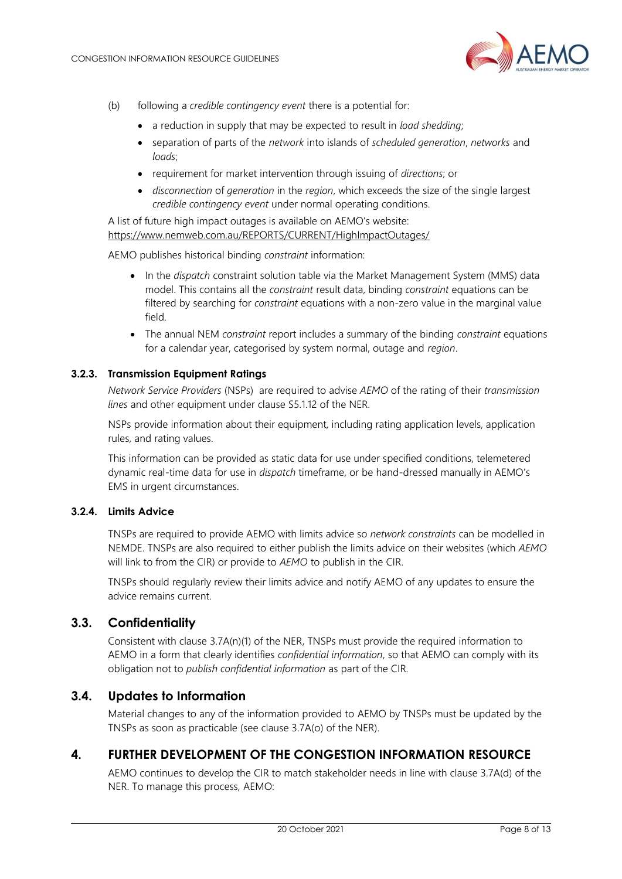

- (b) following a *credible contingency event* there is a potential for:
	- a reduction in supply that may be expected to result in *load shedding*;
	- separation of parts of the *network* into islands of *scheduled generation*, *networks* and *loads*;
	- requirement for market intervention through issuing of *directions*; or
	- *disconnection* of *generation* in the *region*, which exceeds the size of the single largest *credible contingency event* under normal operating conditions.

A list of future high impact outages is available on AEMO's website: <https://www.nemweb.com.au/REPORTS/CURRENT/HighImpactOutages/>

AEMO publishes historical binding *constraint* information:

- In the *dispatch* constraint solution table via the Market Management System (MMS) data model. This contains all the *constraint* result data, binding *constraint* equations can be filtered by searching for *constraint* equations with a non-zero value in the marginal value field.
- The annual NEM *constraint* report includes a summary of the binding *constraint* equations for a calendar year, categorised by system normal, outage and *region*.

#### **3.2.3. Transmission Equipment Ratings**

*Network Service Providers* (NSPs) are required to advise *AEMO* of the rating of their *transmission lines* and other equipment under clause S5.1.12 of the NER.

NSPs provide information about their equipment, including rating application levels, application rules, and rating values.

This information can be provided as static data for use under specified conditions, telemetered dynamic real-time data for use in *dispatch* timeframe, or be hand-dressed manually in AEMO's EMS in urgent circumstances.

#### **3.2.4. Limits Advice**

TNSPs are required to provide AEMO with limits advice so *network constraints* can be modelled in NEMDE. TNSPs are also required to either publish the limits advice on their websites (which *AEMO* will link to from the CIR) or provide to *AEMO* to publish in the CIR.

TNSPs should regularly review their limits advice and notify AEMO of any updates to ensure the advice remains current.

## <span id="page-7-0"></span>**3.3. Confidentiality**

Consistent with clause 3.7A(n)(1) of the NER, TNSPs must provide the required information to AEMO in a form that clearly identifies *confidential information*, so that AEMO can comply with its obligation not to *publish confidential information* as part of the CIR.

## <span id="page-7-1"></span>**3.4. Updates to Information**

Material changes to any of the information provided to AEMO by TNSPs must be updated by the TNSPs as soon as practicable (see clause 3.7A(o) of the NER).

## <span id="page-7-2"></span>**4. FURTHER DEVELOPMENT OF THE CONGESTION INFORMATION RESOURCE**

AEMO continues to develop the CIR to match stakeholder needs in line with clause 3.7A(d) of the NER. To manage this process, AEMO: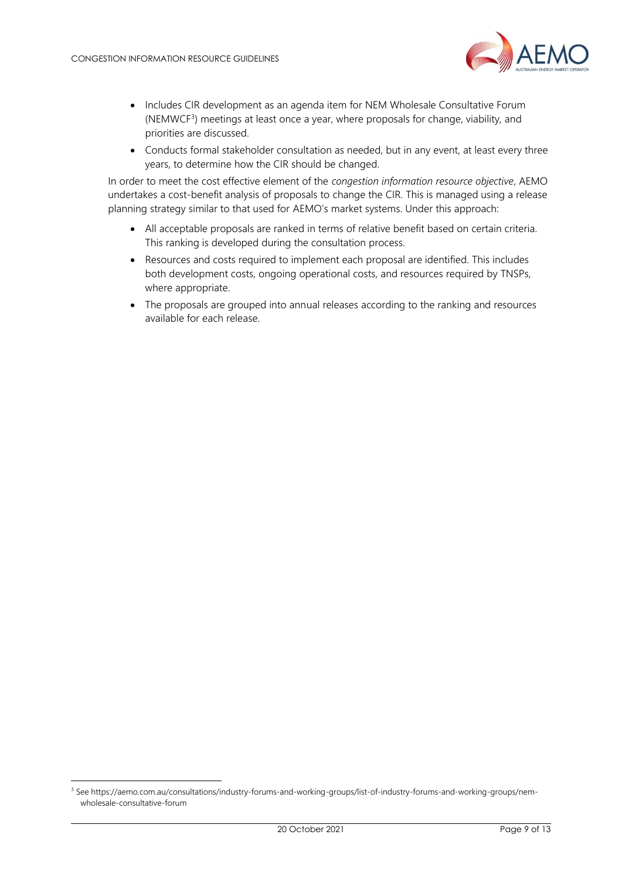

- Includes CIR development as an agenda item for NEM Wholesale Consultative Forum (NEMWCF<sup>3</sup>) meetings at least once a year, where proposals for change, viability, and priorities are discussed.
- Conducts formal stakeholder consultation as needed, but in any event, at least every three years, to determine how the CIR should be changed.

In order to meet the cost effective element of the *congestion information resource objective*, AEMO undertakes a cost-benefit analysis of proposals to change the CIR. This is managed using a release planning strategy similar to that used for AEMO's market systems. Under this approach:

- All acceptable proposals are ranked in terms of relative benefit based on certain criteria. This ranking is developed during the consultation process.
- Resources and costs required to implement each proposal are identified. This includes both development costs, ongoing operational costs, and resources required by TNSPs, where appropriate.
- The proposals are grouped into annual releases according to the ranking and resources available for each release.

<sup>3</sup> See https://aemo.com.au/consultations/industry-forums-and-working-groups/list-of-industry-forums-and-working-groups/nemwholesale-consultative-forum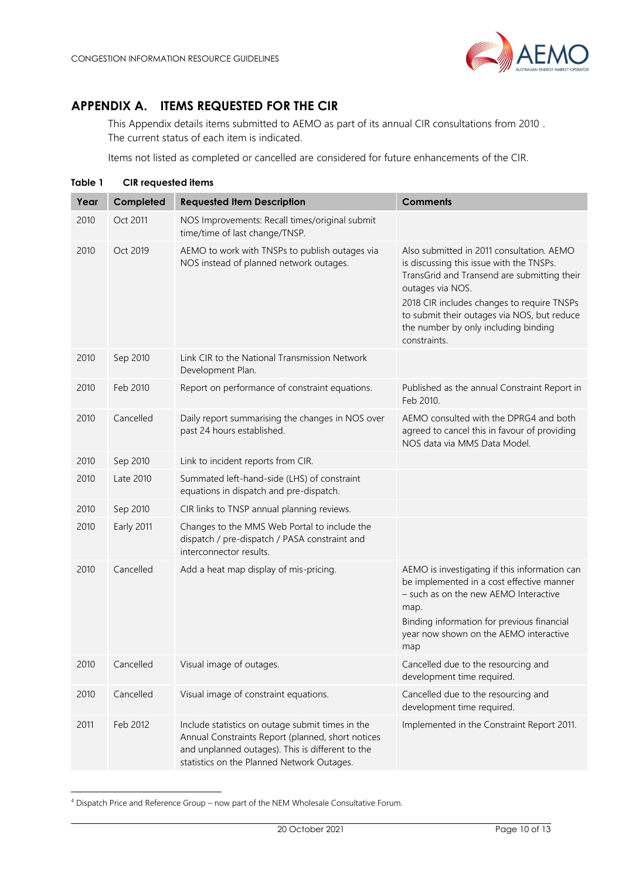## <span id="page-9-0"></span>**APPENDIX A. ITEMS REQUESTED FOR THE CIR**

This Appendix details items submitted to AEMO as part of its annual CIR consultations from 2010 . The current status of each item is indicated.

Items not listed as completed or cancelled are considered for future enhancements of the CIR.

<span id="page-9-1"></span>

| Table 1 | <b>CIR</b> requested items |                                                                                                                                                                                                         |                                                                                                                                                                                                                                                                                                               |
|---------|----------------------------|---------------------------------------------------------------------------------------------------------------------------------------------------------------------------------------------------------|---------------------------------------------------------------------------------------------------------------------------------------------------------------------------------------------------------------------------------------------------------------------------------------------------------------|
| Year    | Completed                  | <b>Requested Item Description</b>                                                                                                                                                                       | <b>Comments</b>                                                                                                                                                                                                                                                                                               |
| 2010    | Oct 2011                   | NOS Improvements: Recall times/original submit<br>time/time of last change/TNSP.                                                                                                                        |                                                                                                                                                                                                                                                                                                               |
| 2010    | Oct 2019                   | AEMO to work with TNSPs to publish outages via<br>NOS instead of planned network outages.                                                                                                               | Also submitted in 2011 consultation. AEMO<br>is discussing this issue with the TNSPs.<br>TransGrid and Transend are submitting their<br>outages via NOS.<br>2018 CIR includes changes to require TNSPs<br>to submit their outages via NOS, but reduce<br>the number by only including binding<br>constraints. |
| 2010    | Sep 2010                   | Link CIR to the National Transmission Network<br>Development Plan.                                                                                                                                      |                                                                                                                                                                                                                                                                                                               |
| 2010    | Feb 2010                   | Report on performance of constraint equations.                                                                                                                                                          | Published as the annual Constraint Report in<br>Feb 2010.                                                                                                                                                                                                                                                     |
| 2010    | Cancelled                  | Daily report summarising the changes in NOS over<br>past 24 hours established.                                                                                                                          | AEMO consulted with the DPRG4 and both<br>agreed to cancel this in favour of providing<br>NOS data via MMS Data Model.                                                                                                                                                                                        |
| 2010    | Sep 2010                   | Link to incident reports from CIR.                                                                                                                                                                      |                                                                                                                                                                                                                                                                                                               |
| 2010    | Late 2010                  | Summated left-hand-side (LHS) of constraint<br>equations in dispatch and pre-dispatch.                                                                                                                  |                                                                                                                                                                                                                                                                                                               |
| 2010    | Sep 2010                   | CIR links to TNSP annual planning reviews.                                                                                                                                                              |                                                                                                                                                                                                                                                                                                               |
| 2010    | Early 2011                 | Changes to the MMS Web Portal to include the<br>dispatch / pre-dispatch / PASA constraint and<br>interconnector results.                                                                                |                                                                                                                                                                                                                                                                                                               |
| 2010    | Cancelled                  | Add a heat map display of mis-pricing.                                                                                                                                                                  | AEMO is investigating if this information can<br>be implemented in a cost effective manner<br>- such as on the new AEMO Interactive<br>map.<br>Binding information for previous financial<br>year now shown on the AEMO interactive<br>map                                                                    |
| 2010    | Cancelled                  | Visual image of outages.                                                                                                                                                                                | Cancelled due to the resourcing and<br>development time required.                                                                                                                                                                                                                                             |
| 2010    | Cancelled                  | Visual image of constraint equations.                                                                                                                                                                   | Cancelled due to the resourcing and<br>development time required.                                                                                                                                                                                                                                             |
| 2011    | Feb 2012                   | Include statistics on outage submit times in the<br>Annual Constraints Report (planned, short notices<br>and unplanned outages). This is different to the<br>statistics on the Planned Network Outages. | Implemented in the Constraint Report 2011.                                                                                                                                                                                                                                                                    |

<sup>4</sup> Dispatch Price and Reference Group – now part of the NEM Wholesale Consultative Forum.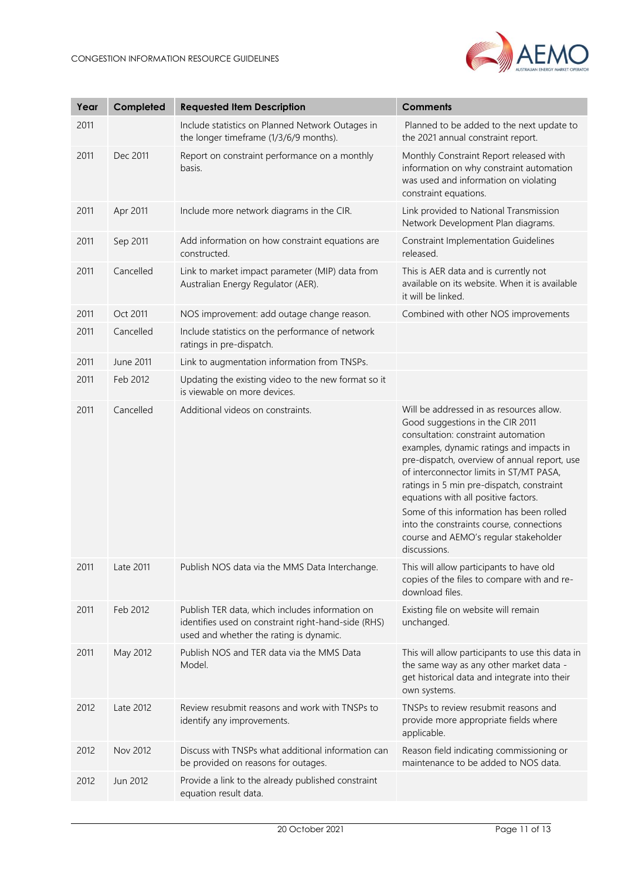

| Year | Completed | <b>Requested Item Description</b>                                                                                                                 | <b>Comments</b>                                                                                                                                                                                                                                                                                                                                                                                                                                                                                  |
|------|-----------|---------------------------------------------------------------------------------------------------------------------------------------------------|--------------------------------------------------------------------------------------------------------------------------------------------------------------------------------------------------------------------------------------------------------------------------------------------------------------------------------------------------------------------------------------------------------------------------------------------------------------------------------------------------|
| 2011 |           | Include statistics on Planned Network Outages in<br>the longer timeframe (1/3/6/9 months).                                                        | Planned to be added to the next update to<br>the 2021 annual constraint report.                                                                                                                                                                                                                                                                                                                                                                                                                  |
| 2011 | Dec 2011  | Report on constraint performance on a monthly<br>basis.                                                                                           | Monthly Constraint Report released with<br>information on why constraint automation<br>was used and information on violating<br>constraint equations.                                                                                                                                                                                                                                                                                                                                            |
| 2011 | Apr 2011  | Include more network diagrams in the CIR.                                                                                                         | Link provided to National Transmission<br>Network Development Plan diagrams.                                                                                                                                                                                                                                                                                                                                                                                                                     |
| 2011 | Sep 2011  | Add information on how constraint equations are<br>constructed.                                                                                   | <b>Constraint Implementation Guidelines</b><br>released.                                                                                                                                                                                                                                                                                                                                                                                                                                         |
| 2011 | Cancelled | Link to market impact parameter (MIP) data from<br>Australian Energy Regulator (AER).                                                             | This is AER data and is currently not<br>available on its website. When it is available<br>it will be linked.                                                                                                                                                                                                                                                                                                                                                                                    |
| 2011 | Oct 2011  | NOS improvement: add outage change reason.                                                                                                        | Combined with other NOS improvements                                                                                                                                                                                                                                                                                                                                                                                                                                                             |
| 2011 | Cancelled | Include statistics on the performance of network<br>ratings in pre-dispatch.                                                                      |                                                                                                                                                                                                                                                                                                                                                                                                                                                                                                  |
| 2011 | June 2011 | Link to augmentation information from TNSPs.                                                                                                      |                                                                                                                                                                                                                                                                                                                                                                                                                                                                                                  |
| 2011 | Feb 2012  | Updating the existing video to the new format so it<br>is viewable on more devices.                                                               |                                                                                                                                                                                                                                                                                                                                                                                                                                                                                                  |
| 2011 | Cancelled | Additional videos on constraints.                                                                                                                 | Will be addressed in as resources allow.<br>Good suggestions in the CIR 2011<br>consultation: constraint automation<br>examples, dynamic ratings and impacts in<br>pre-dispatch, overview of annual report, use<br>of interconnector limits in ST/MT PASA,<br>ratings in 5 min pre-dispatch, constraint<br>equations with all positive factors.<br>Some of this information has been rolled<br>into the constraints course, connections<br>course and AEMO's regular stakeholder<br>discussions. |
| 2011 | Late 2011 | Publish NOS data via the MMS Data Interchange.                                                                                                    | This will allow participants to have old<br>copies of the files to compare with and re-<br>download files.                                                                                                                                                                                                                                                                                                                                                                                       |
| 2011 | Feb 2012  | Publish TER data, which includes information on<br>identifies used on constraint right-hand-side (RHS)<br>used and whether the rating is dynamic. | Existing file on website will remain<br>unchanged.                                                                                                                                                                                                                                                                                                                                                                                                                                               |
| 2011 | May 2012  | Publish NOS and TER data via the MMS Data<br>Model.                                                                                               | This will allow participants to use this data in<br>the same way as any other market data -<br>get historical data and integrate into their<br>own systems.                                                                                                                                                                                                                                                                                                                                      |
| 2012 | Late 2012 | Review resubmit reasons and work with TNSPs to<br>identify any improvements.                                                                      | TNSPs to review resubmit reasons and<br>provide more appropriate fields where<br>applicable.                                                                                                                                                                                                                                                                                                                                                                                                     |
| 2012 | Nov 2012  | Discuss with TNSPs what additional information can<br>be provided on reasons for outages.                                                         | Reason field indicating commissioning or<br>maintenance to be added to NOS data.                                                                                                                                                                                                                                                                                                                                                                                                                 |
| 2012 | Jun 2012  | Provide a link to the already published constraint<br>equation result data.                                                                       |                                                                                                                                                                                                                                                                                                                                                                                                                                                                                                  |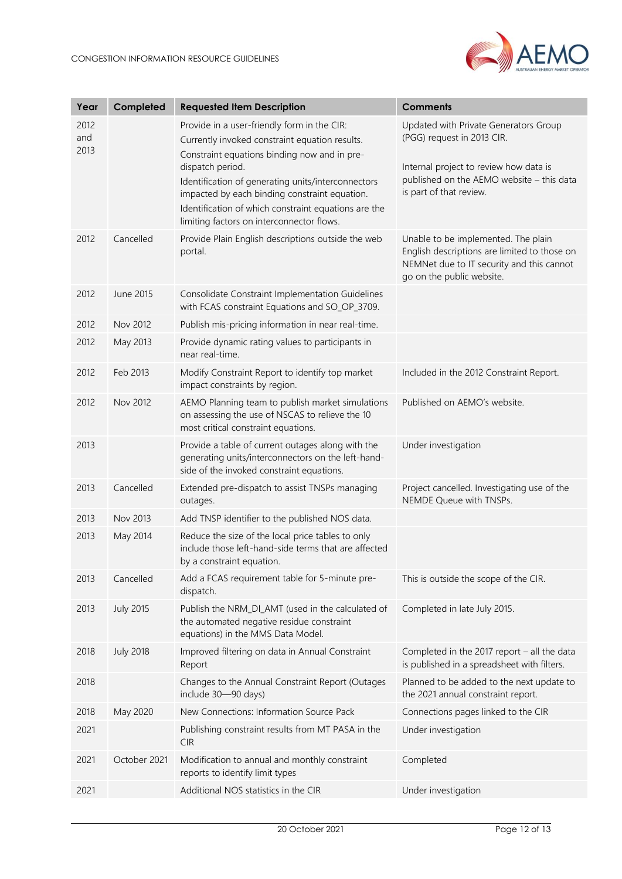

| Year                | Completed        | <b>Requested Item Description</b>                                                                                                                                                                                                                                                                                                                                             | <b>Comments</b>                                                                                                                                                                       |
|---------------------|------------------|-------------------------------------------------------------------------------------------------------------------------------------------------------------------------------------------------------------------------------------------------------------------------------------------------------------------------------------------------------------------------------|---------------------------------------------------------------------------------------------------------------------------------------------------------------------------------------|
| 2012<br>and<br>2013 |                  | Provide in a user-friendly form in the CIR:<br>Currently invoked constraint equation results.<br>Constraint equations binding now and in pre-<br>dispatch period.<br>Identification of generating units/interconnectors<br>impacted by each binding constraint equation.<br>Identification of which constraint equations are the<br>limiting factors on interconnector flows. | Updated with Private Generators Group<br>(PGG) request in 2013 CIR.<br>Internal project to review how data is<br>published on the AEMO website - this data<br>is part of that review. |
| 2012                | Cancelled        | Provide Plain English descriptions outside the web<br>portal.                                                                                                                                                                                                                                                                                                                 | Unable to be implemented. The plain<br>English descriptions are limited to those on<br>NEMNet due to IT security and this cannot<br>go on the public website.                         |
| 2012                | June 2015        | Consolidate Constraint Implementation Guidelines<br>with FCAS constraint Equations and SO_OP_3709.                                                                                                                                                                                                                                                                            |                                                                                                                                                                                       |
| 2012                | Nov 2012         | Publish mis-pricing information in near real-time.                                                                                                                                                                                                                                                                                                                            |                                                                                                                                                                                       |
| 2012                | May 2013         | Provide dynamic rating values to participants in<br>near real-time.                                                                                                                                                                                                                                                                                                           |                                                                                                                                                                                       |
| 2012                | Feb 2013         | Modify Constraint Report to identify top market<br>impact constraints by region.                                                                                                                                                                                                                                                                                              | Included in the 2012 Constraint Report.                                                                                                                                               |
| 2012                | Nov 2012         | AEMO Planning team to publish market simulations<br>on assessing the use of NSCAS to relieve the 10<br>most critical constraint equations.                                                                                                                                                                                                                                    | Published on AEMO's website.                                                                                                                                                          |
| 2013                |                  | Provide a table of current outages along with the<br>generating units/interconnectors on the left-hand-<br>side of the invoked constraint equations.                                                                                                                                                                                                                          | Under investigation                                                                                                                                                                   |
| 2013                | Cancelled        | Extended pre-dispatch to assist TNSPs managing<br>outages.                                                                                                                                                                                                                                                                                                                    | Project cancelled. Investigating use of the<br>NEMDE Queue with TNSPs.                                                                                                                |
| 2013                | Nov 2013         | Add TNSP identifier to the published NOS data.                                                                                                                                                                                                                                                                                                                                |                                                                                                                                                                                       |
| 2013                | May 2014         | Reduce the size of the local price tables to only<br>include those left-hand-side terms that are affected<br>by a constraint equation.                                                                                                                                                                                                                                        |                                                                                                                                                                                       |
| 2013                | Cancelled        | Add a FCAS requirement table for 5-minute pre-<br>dispatch.                                                                                                                                                                                                                                                                                                                   | This is outside the scope of the CIR.                                                                                                                                                 |
| 2013                | <b>July 2015</b> | Publish the NRM_DI_AMT (used in the calculated of<br>the automated negative residue constraint<br>equations) in the MMS Data Model.                                                                                                                                                                                                                                           | Completed in late July 2015.                                                                                                                                                          |
| 2018                | <b>July 2018</b> | Improved filtering on data in Annual Constraint<br>Report                                                                                                                                                                                                                                                                                                                     | Completed in the 2017 report $-$ all the data<br>is published in a spreadsheet with filters.                                                                                          |
| 2018                |                  | Changes to the Annual Constraint Report (Outages<br>include 30-90 days)                                                                                                                                                                                                                                                                                                       | Planned to be added to the next update to<br>the 2021 annual constraint report.                                                                                                       |
| 2018                | May 2020         | New Connections: Information Source Pack                                                                                                                                                                                                                                                                                                                                      | Connections pages linked to the CIR                                                                                                                                                   |
| 2021                |                  | Publishing constraint results from MT PASA in the<br><b>CIR</b>                                                                                                                                                                                                                                                                                                               | Under investigation                                                                                                                                                                   |
| 2021                | October 2021     | Modification to annual and monthly constraint<br>reports to identify limit types                                                                                                                                                                                                                                                                                              | Completed                                                                                                                                                                             |
| 2021                |                  | Additional NOS statistics in the CIR                                                                                                                                                                                                                                                                                                                                          | Under investigation                                                                                                                                                                   |